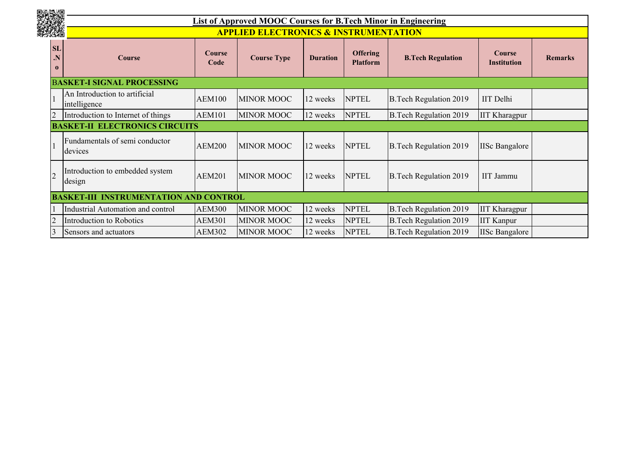

## **List of Approved MOOC Courses for B.Tech Minor in Engineering APPLIED ELECTRONICS & INSTRUMENTATION**

|                                    | AS O<br><u>APPLIED ELECTRUNICS &amp; INSTRUMENTATION</u> |                       |                    |                 |                                    |                               |                                     |                |  |  |
|------------------------------------|----------------------------------------------------------|-----------------------|--------------------|-----------------|------------------------------------|-------------------------------|-------------------------------------|----------------|--|--|
| <b>SL</b><br>$\cdot N$<br>$\bf{0}$ | <b>Course</b>                                            | <b>Course</b><br>Code | <b>Course Type</b> | <b>Duration</b> | <b>Offering</b><br><b>Platform</b> | <b>B.Tech Regulation</b>      | <b>Course</b><br><b>Institution</b> | <b>Remarks</b> |  |  |
|                                    | <b>BASKET-I SIGNAL PROCESSING</b>                        |                       |                    |                 |                                    |                               |                                     |                |  |  |
|                                    | An Introduction to artificial<br>intelligence            | <b>AEM100</b>         | <b>MINOR MOOC</b>  | 12 weeks        | <b>NPTEL</b>                       | <b>B.Tech Regulation 2019</b> | IIT Delhi                           |                |  |  |
| 2                                  | Introduction to Internet of things                       | <b>AEM101</b>         | <b>MINOR MOOC</b>  | 12 weeks        | <b>NPTEL</b>                       | <b>B.Tech Regulation 2019</b> | <b>IIT Kharagpur</b>                |                |  |  |
|                                    | <b>BASKET-II ELECTRONICS CIRCUITS</b>                    |                       |                    |                 |                                    |                               |                                     |                |  |  |
|                                    | Fundamentals of semi conductor<br>devices                | <b>AEM200</b>         | <b>MINOR MOOC</b>  | 12 weeks        | <b>NPTEL</b>                       | <b>B.Tech Regulation 2019</b> | <b>IISc Bangalore</b>               |                |  |  |
| 2                                  | Introduction to embedded system<br>design                | <b>AEM201</b>         | <b>MINOR MOOC</b>  | 12 weeks        | <b>NPTEL</b>                       | <b>B.Tech Regulation 2019</b> | IIT Jammu                           |                |  |  |
|                                    | <b>BASKET-III INSTRUMENTATION AND CONTROL</b>            |                       |                    |                 |                                    |                               |                                     |                |  |  |
|                                    | Industrial Automation and control                        | <b>AEM300</b>         | <b>MINOR MOOC</b>  | 12 weeks        | <b>NPTEL</b>                       | <b>B.Tech Regulation 2019</b> | <b>IIT Kharagpur</b>                |                |  |  |
| $\overline{2}$                     | Introduction to Robotics                                 | <b>AEM301</b>         | <b>MINOR MOOC</b>  | 12 weeks        | <b>NPTEL</b>                       | <b>B.Tech Regulation 2019</b> | <b>IIT Kanpur</b>                   |                |  |  |
| 3                                  | Sensors and actuators                                    | <b>AEM302</b>         | <b>MINOR MOOC</b>  | 12 weeks        | <b>NPTEL</b>                       | <b>B.Tech Regulation 2019</b> | <b>IISc Bangalore</b>               |                |  |  |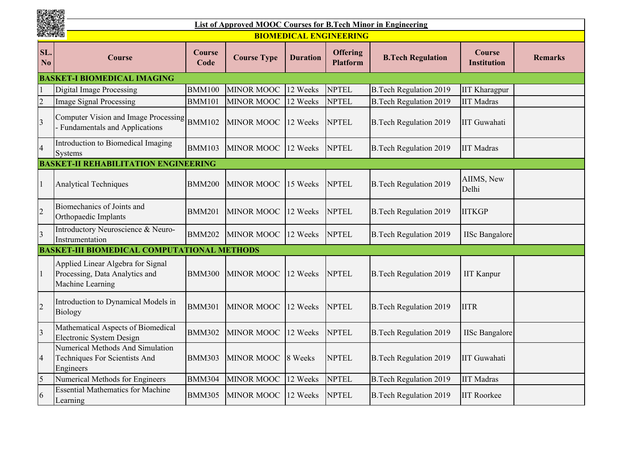| 1941           | <b>List of Approved MOOC Courses for B.Tech Minor in Engineering</b>                    |                |                    |                 |                                    |                               |                                     |                |  |  |  |
|----------------|-----------------------------------------------------------------------------------------|----------------|--------------------|-----------------|------------------------------------|-------------------------------|-------------------------------------|----------------|--|--|--|
|                |                                                                                         |                |                    |                 | <b>BIOMEDICAL ENGINEERING</b>      |                               |                                     |                |  |  |  |
| SL.<br>No      | <b>Course</b>                                                                           | Course<br>Code | <b>Course Type</b> | <b>Duration</b> | <b>Offering</b><br><b>Platform</b> | <b>B.Tech Regulation</b>      | <b>Course</b><br><b>Institution</b> | <b>Remarks</b> |  |  |  |
|                | <b>BASKET-I BIOMEDICAL IMAGING</b>                                                      |                |                    |                 |                                    |                               |                                     |                |  |  |  |
|                | <b>Digital Image Processing</b>                                                         | <b>BMM100</b>  | <b>MINOR MOOC</b>  | 12 Weeks        | <b>NPTEL</b>                       | <b>B.Tech Regulation 2019</b> | <b>IIT Kharagpur</b>                |                |  |  |  |
| $\overline{2}$ | <b>Image Signal Processing</b>                                                          | <b>BMM101</b>  | <b>MINOR MOOC</b>  | 12 Weeks        | <b>NPTEL</b>                       | <b>B.Tech Regulation 2019</b> | <b>IIT Madras</b>                   |                |  |  |  |
| $\overline{3}$ | Computer Vision and Image Processing<br><b>Fundamentals and Applications</b>            | <b>BMM102</b>  | <b>MINOR MOOC</b>  | 12 Weeks        | <b>NPTEL</b>                       | <b>B.Tech Regulation 2019</b> | <b>IIT Guwahati</b>                 |                |  |  |  |
| $\overline{4}$ | Introduction to Biomedical Imaging<br>Systems                                           | <b>BMM103</b>  | <b>MINOR MOOC</b>  | 12 Weeks        | <b>NPTEL</b>                       | <b>B.Tech Regulation 2019</b> | <b>IIT Madras</b>                   |                |  |  |  |
|                | <b>BASKET-II REHABILITATION ENGINEERING</b>                                             |                |                    |                 |                                    |                               |                                     |                |  |  |  |
| 1              | <b>Analytical Techniques</b>                                                            | <b>BMM200</b>  | <b>MINOR MOOC</b>  | 15 Weeks        | <b>NPTEL</b>                       | <b>B.Tech Regulation 2019</b> | AIIMS, New<br>Delhi                 |                |  |  |  |
| $\overline{c}$ | Biomechanics of Joints and<br>Orthopaedic Implants                                      | <b>BMM201</b>  | <b>MINOR MOOC</b>  | 12 Weeks        | <b>NPTEL</b>                       | <b>B.Tech Regulation 2019</b> | <b>IITKGP</b>                       |                |  |  |  |
| $\overline{3}$ | Introductory Neuroscience & Neuro-<br>Instrumentation                                   | <b>BMM202</b>  | <b>MINOR MOOC</b>  | 12 Weeks        | <b>NPTEL</b>                       | <b>B.Tech Regulation 2019</b> | <b>IISc Bangalore</b>               |                |  |  |  |
|                | <b>BASKET-III BIOMEDICAL COMPUTATIONAL METHODS</b>                                      |                |                    |                 |                                    |                               |                                     |                |  |  |  |
| $\mathbf{1}$   | Applied Linear Algebra for Signal<br>Processing, Data Analytics and<br>Machine Learning | <b>BMM300</b>  | <b>MINOR MOOC</b>  | 12 Weeks        | <b>NPTEL</b>                       | <b>B.Tech Regulation 2019</b> | <b>IIT Kanpur</b>                   |                |  |  |  |
| $\overline{2}$ | Introduction to Dynamical Models in<br><b>Biology</b>                                   | <b>BMM301</b>  | <b>MINOR MOOC</b>  | 12 Weeks        | <b>NPTEL</b>                       | <b>B.Tech Regulation 2019</b> | <b>IITR</b>                         |                |  |  |  |
| $\overline{3}$ | Mathematical Aspects of Biomedical<br>Electronic System Design                          | <b>BMM302</b>  | MINOR MOOC         | 12 Weeks        | <b>NPTEL</b>                       | <b>B.Tech Regulation 2019</b> | <b>IISc Bangalore</b>               |                |  |  |  |
| $\overline{4}$ | Numerical Methods And Simulation<br>Techniques For Scientists And<br>Engineers          | <b>BMM303</b>  | <b>MINOR MOOC</b>  | 8 Weeks         | <b>NPTEL</b>                       | <b>B.Tech Regulation 2019</b> | <b>IIT Guwahati</b>                 |                |  |  |  |
| 5              | Numerical Methods for Engineers                                                         | <b>BMM304</b>  | <b>MINOR MOOC</b>  | 12 Weeks        | <b>NPTEL</b>                       | <b>B.Tech Regulation 2019</b> | <b>IIT Madras</b>                   |                |  |  |  |
| 6              | <b>Essential Mathematics for Machine</b><br>Learning                                    | <b>BMM305</b>  | <b>MINOR MOOC</b>  | 12 Weeks        | <b>NPTEL</b>                       | <b>B.Tech Regulation 2019</b> | <b>IIT Roorkee</b>                  |                |  |  |  |

■激燃場<br>数機機関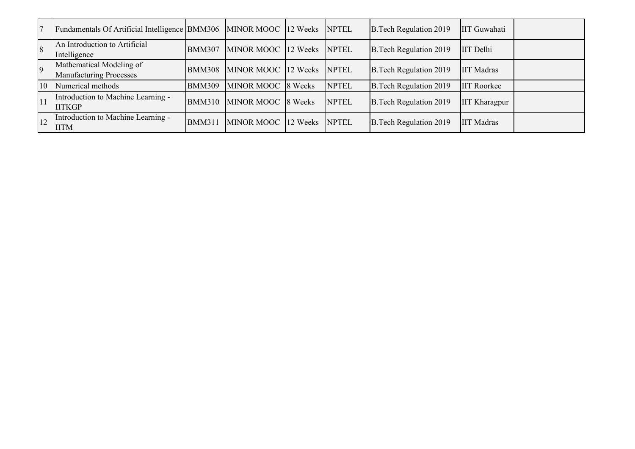| $\overline{7}$ | Fundamentals Of Artificial Intelligence BMM306             |               | MINOR MOOC 12 Weeks NPTEL |              | B. Tech Regulation 2019       | IIT Guwahati         |  |
|----------------|------------------------------------------------------------|---------------|---------------------------|--------------|-------------------------------|----------------------|--|
| $\sqrt{8}$     | An Introduction to Artificial<br>Intelligence              | <b>BMM307</b> | MINOR MOOC 12 Weeks NPTEL |              | B. Tech Regulation 2019       | <b>IIT</b> Delhi     |  |
| $\overline{9}$ | Mathematical Modeling of<br><b>Manufacturing Processes</b> | <b>BMM308</b> | MINOR MOOC 12 Weeks       | <b>NPTEL</b> | <b>B.Tech Regulation 2019</b> | <b>IIT Madras</b>    |  |
| 10             | Numerical methods                                          | <b>BMM309</b> | MINOR MOOC 8 Weeks        | <b>NPTEL</b> | <b>B.Tech Regulation 2019</b> | <b>IIT Roorkee</b>   |  |
| 11             | Introduction to Machine Learning -<br><b>IITKGP</b>        | <b>BMM310</b> | MINOR MOOC 8 Weeks        | <b>NPTEL</b> | B. Tech Regulation 2019       | <b>IIT Kharagpur</b> |  |
| 12             | Introduction to Machine Learning -<br><b>IITM</b>          | <b>BMM311</b> | MINOR MOOC 12 Weeks       | <b>NPTEL</b> | B. Tech Regulation 2019       | <b>IIT Madras</b>    |  |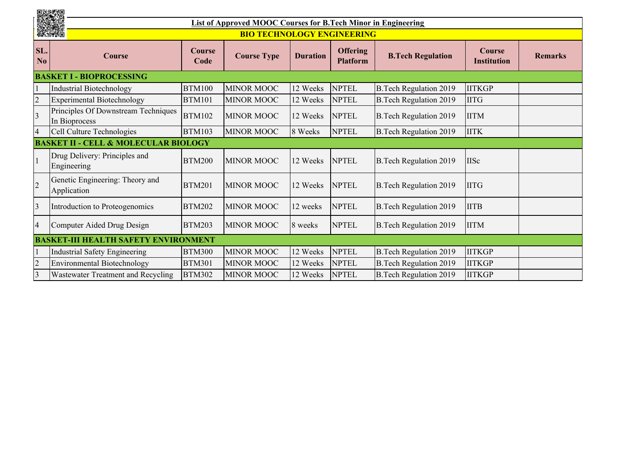|                       | united<br>Website                                    |                    |                                                               |                                    |                          |                               |                |  |  |  |
|-----------------------|------------------------------------------------------|--------------------|---------------------------------------------------------------|------------------------------------|--------------------------|-------------------------------|----------------|--|--|--|
|                       | X.                                                   |                    | List of Approved MOOC Courses for B.Tech Minor in Engineering |                                    |                          |                               |                |  |  |  |
|                       | 無機眼                                                  |                    | <b>BIO TECHNOLOGY ENGINEERING</b>                             |                                    |                          |                               |                |  |  |  |
| SL.<br>N <sub>o</sub> | Course                                               | <b>Course Type</b> | <b>Duration</b>                                               | <b>Offering</b><br><b>Platform</b> | <b>B.Tech Regulation</b> | Course<br><b>Institution</b>  | <b>Remarks</b> |  |  |  |
|                       | <b>BASKET I - BIOPROCESSING</b>                      |                    |                                                               |                                    |                          |                               |                |  |  |  |
|                       | <b>Industrial Biotechnology</b>                      | <b>BTM100</b>      | <b>MINOR MOOC</b>                                             | 12 Weeks                           | <b>NPTEL</b>             | <b>B.Tech Regulation 2019</b> | <b>IITKGP</b>  |  |  |  |
| $\overline{2}$        | <b>Experimental Biotechnology</b>                    | <b>BTM101</b>      | <b>MINOR MOOC</b>                                             | 12 Weeks                           | <b>NPTEL</b>             | <b>B.Tech Regulation 2019</b> | <b>IITG</b>    |  |  |  |
| $\overline{3}$        | Principles Of Downstream Techniques<br>In Bioprocess | <b>BTM102</b>      | <b>MINOR MOOC</b>                                             | 12 Weeks                           | <b>NPTEL</b>             | <b>B.Tech Regulation 2019</b> | <b>IITM</b>    |  |  |  |
| $\overline{4}$        | Cell Culture Technologies                            | <b>BTM103</b>      | <b>MINOR MOOC</b>                                             | 8 Weeks                            | <b>NPTEL</b>             | <b>B.Tech Regulation 2019</b> | <b>IITK</b>    |  |  |  |
|                       | <b>BASKET II - CELL &amp; MOLECULAR BIOLOGY</b>      |                    |                                                               |                                    |                          |                               |                |  |  |  |
|                       | Drug Delivery: Principles and<br>Engineering         | <b>BTM200</b>      | <b>MINOR MOOC</b>                                             | 12 Weeks                           | <b>NPTEL</b>             | <b>B.Tech Regulation 2019</b> | <b>IISc</b>    |  |  |  |
| $\overline{2}$        | Genetic Engineering: Theory and<br>Application       | <b>BTM201</b>      | <b>MINOR MOOC</b>                                             | 12 Weeks                           | <b>NPTEL</b>             | <b>B.Tech Regulation 2019</b> | <b>IITG</b>    |  |  |  |
| $\overline{3}$        | Introduction to Proteogenomics                       | <b>BTM202</b>      | <b>MINOR MOOC</b>                                             | 12 weeks                           | <b>NPTEL</b>             | <b>B.Tech Regulation 2019</b> | <b>IITB</b>    |  |  |  |
| $\overline{4}$        | Computer Aided Drug Design                           | <b>BTM203</b>      | <b>MINOR MOOC</b>                                             | 8 weeks                            | <b>NPTEL</b>             | <b>B.Tech Regulation 2019</b> | <b>IITM</b>    |  |  |  |
|                       | <b>BASKET-III HEALTH SAFETY ENVIRONMENT</b>          |                    |                                                               |                                    |                          |                               |                |  |  |  |
|                       | <b>Industrial Safety Engineering</b>                 | <b>BTM300</b>      | <b>MINOR MOOC</b>                                             | 12 Weeks                           | <b>NPTEL</b>             | <b>B.Tech Regulation 2019</b> | <b>IITKGP</b>  |  |  |  |
| $\overline{c}$        | <b>Environmental Biotechnology</b>                   | <b>BTM301</b>      | <b>MINOR MOOC</b>                                             | 12 Weeks                           | <b>NPTEL</b>             | <b>B.Tech Regulation 2019</b> | <b>IITKGP</b>  |  |  |  |
| $\overline{3}$        | Wastewater Treatment and Recycling                   | <b>BTM302</b>      | <b>MINOR MOOC</b>                                             | 12 Weeks                           | <b>NPTEL</b>             | <b>B.Tech Regulation 2019</b> | <b>IITKGP</b>  |  |  |  |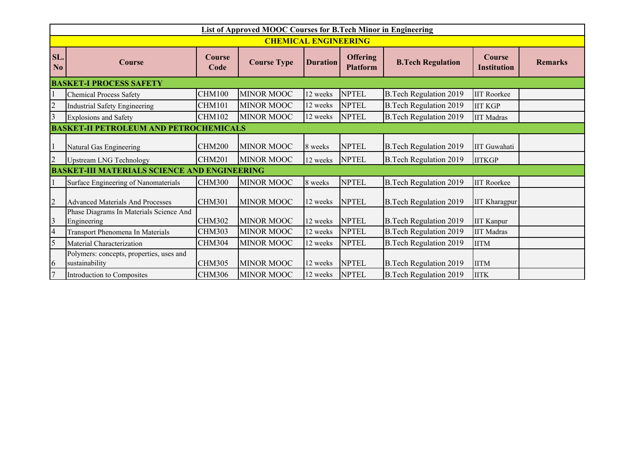|                                | <b>List of Approved MOOC Courses for B.Tech Minor in Engineering</b> |                       |                             |                 |                                    |                               |                      |  |  |  |
|--------------------------------|----------------------------------------------------------------------|-----------------------|-----------------------------|-----------------|------------------------------------|-------------------------------|----------------------|--|--|--|
|                                |                                                                      |                       | <b>CHEMICAL ENGINEERING</b> |                 |                                    |                               |                      |  |  |  |
| SL.<br>N <sub>0</sub>          | Course                                                               | <b>Course</b><br>Code | <b>Course Type</b>          | <b>Duration</b> | <b>Offering</b><br><b>Platform</b> | <b>B.Tech Regulation</b>      | <b>Remarks</b>       |  |  |  |
| <b>BASKET-I PROCESS SAFETY</b> |                                                                      |                       |                             |                 |                                    |                               |                      |  |  |  |
|                                | <b>Chemical Process Safety</b>                                       | <b>CHM100</b>         | <b>MINOR MOOC</b>           | 12 weeks        | <b>NPTEL</b>                       | <b>B.Tech Regulation 2019</b> | <b>IIT Roorkee</b>   |  |  |  |
| $\overline{2}$                 | <b>Industrial Safety Engineering</b>                                 | <b>CHM101</b>         | <b>MINOR MOOC</b>           | 12 weeks        | <b>NPTEL</b>                       | <b>B.Tech Regulation 2019</b> | <b>IIT KGP</b>       |  |  |  |
|                                | <b>Explosions and Safety</b>                                         | <b>CHM102</b>         | <b>MINOR MOOC</b>           | 12 weeks        | <b>NPTEL</b>                       | <b>B.Tech Regulation 2019</b> | <b>IIT Madras</b>    |  |  |  |
|                                | <b>BASKET-II PETROLEUM AND PETROCHEMICALS</b>                        |                       |                             |                 |                                    |                               |                      |  |  |  |
|                                | Natural Gas Engineering                                              | <b>CHM200</b>         | <b>MINOR MOOC</b>           | 8 weeks         | <b>NPTEL</b>                       | <b>B.Tech Regulation 2019</b> | <b>IIT</b> Guwahati  |  |  |  |
| $\overline{2}$                 | <b>Upstream LNG Technology</b>                                       | <b>CHM201</b>         | <b>MINOR MOOC</b>           | 12 weeks        | <b>NPTEL</b>                       | <b>B.Tech Regulation 2019</b> | <b>IITKGP</b>        |  |  |  |
|                                | <b>BASKET-III MATERIALS SCIENCE AND ENGINEERING</b>                  |                       |                             |                 |                                    |                               |                      |  |  |  |
|                                | Surface Engineering of Nanomaterials                                 | <b>CHM300</b>         | <b>MINOR MOOC</b>           | 8 weeks         | <b>NPTEL</b>                       | <b>B.Tech Regulation 2019</b> | <b>IIT Roorkee</b>   |  |  |  |
|                                | <b>Advanced Materials And Processes</b>                              | <b>CHM301</b>         | <b>MINOR MOOC</b>           | 12 weeks        | <b>NPTEL</b>                       | <b>B.Tech Regulation 2019</b> | <b>IIT Kharagpur</b> |  |  |  |
| $\overline{3}$                 | Phase Diagrams In Materials Science And<br>Engineering               | <b>CHM302</b>         | <b>MINOR MOOC</b>           | 12 weeks        | <b>NPTEL</b>                       | <b>B.Tech Regulation 2019</b> | <b>IIT Kanpur</b>    |  |  |  |
| $\overline{4}$                 | Transport Phenomena In Materials                                     | <b>CHM303</b>         | <b>MINOR MOOC</b>           | 12 weeks        | <b>NPTEL</b>                       | <b>B.Tech Regulation 2019</b> | <b>IIT Madras</b>    |  |  |  |
| 5                              | Material Characterization                                            | <b>CHM304</b>         | <b>MINOR MOOC</b>           | 12 weeks        | <b>NPTEL</b>                       | <b>B.Tech Regulation 2019</b> | <b>IITM</b>          |  |  |  |
| 6                              | Polymers: concepts, properties, uses and<br>sustainability           | <b>CHM305</b>         | <b>MINOR MOOC</b>           | 12 weeks        | <b>NPTEL</b>                       | <b>B.Tech Regulation 2019</b> | <b>IITM</b>          |  |  |  |
| $\overline{7}$                 | Introduction to Composites                                           | <b>CHM306</b>         | <b>MINOR MOOC</b>           | 12 weeks        | <b>NPTEL</b>                       | <b>B.Tech Regulation 2019</b> | <b>IITK</b>          |  |  |  |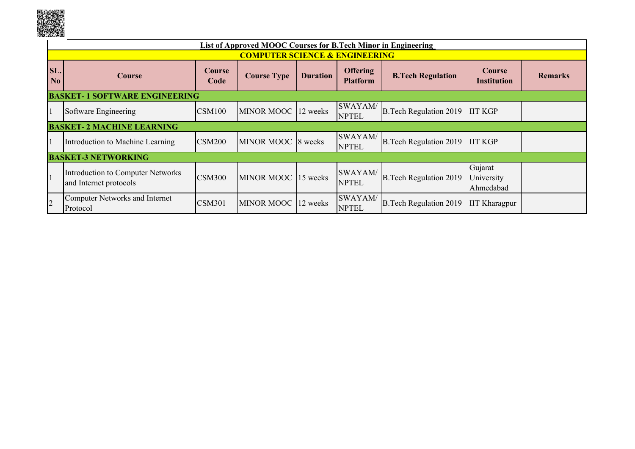

|                                                                                                                                                                                                             | List of Approved MOOC Courses for B.Tech Minor in Engineering |                                                                                                                                                                  |                                           |          |                         |                               |                      |  |  |  |
|-------------------------------------------------------------------------------------------------------------------------------------------------------------------------------------------------------------|---------------------------------------------------------------|------------------------------------------------------------------------------------------------------------------------------------------------------------------|-------------------------------------------|----------|-------------------------|-------------------------------|----------------------|--|--|--|
|                                                                                                                                                                                                             |                                                               |                                                                                                                                                                  | <b>COMPUTER SCIENCE &amp; ENGINEERING</b> |          |                         |                               |                      |  |  |  |
| SL.<br>N <sub>0</sub>                                                                                                                                                                                       | Course                                                        | <b>Offering</b><br><b>Course</b><br><b>Course</b><br><b>Course Type</b><br><b>B.Tech Regulation</b><br><b>Duration</b><br>Code<br><b>Platform</b><br>Institution |                                           |          |                         | <b>Remarks</b>                |                      |  |  |  |
|                                                                                                                                                                                                             | <b>BASKET-1 SOFTWARE ENGINEERING</b>                          |                                                                                                                                                                  |                                           |          |                         |                               |                      |  |  |  |
|                                                                                                                                                                                                             | Software Engineering                                          | <b>CSM100</b>                                                                                                                                                    | MINOR MOOC 12 weeks                       |          | SWAYAM/<br><b>NPTEL</b> | <b>B.Tech Regulation 2019</b> | <b>IIT KGP</b>       |  |  |  |
|                                                                                                                                                                                                             | <b>BASKET-2 MACHINE LEARNING</b>                              |                                                                                                                                                                  |                                           |          |                         |                               |                      |  |  |  |
|                                                                                                                                                                                                             | Introduction to Machine Learning                              | <b>CSM200</b>                                                                                                                                                    | MINOR MOOC 8 weeks                        |          | SWAYAM/<br><b>NPTEL</b> | <b>B.Tech Regulation 2019</b> | <b>IIT KGP</b>       |  |  |  |
|                                                                                                                                                                                                             | <b>BASKET-3 NETWORKING</b>                                    |                                                                                                                                                                  |                                           |          |                         |                               |                      |  |  |  |
| Gujarat<br>SWAYAM/<br>Introduction to Computer Networks<br> 1<br><b>CSM300</b><br>MINOR MOOC 15 weeks<br><b>B.Tech Regulation 2019</b><br>University<br><b>NPTEL</b><br>and Internet protocols<br>Ahmedabad |                                                               |                                                                                                                                                                  |                                           |          |                         |                               |                      |  |  |  |
| $\overline{2}$                                                                                                                                                                                              | <b>Computer Networks and Internet</b><br>Protocol             | CSM301                                                                                                                                                           | MINOR MOOC                                | 12 weeks | SWAYAM/<br><b>NPTEL</b> | <b>B.Tech Regulation 2019</b> | <b>IIT Kharagpur</b> |  |  |  |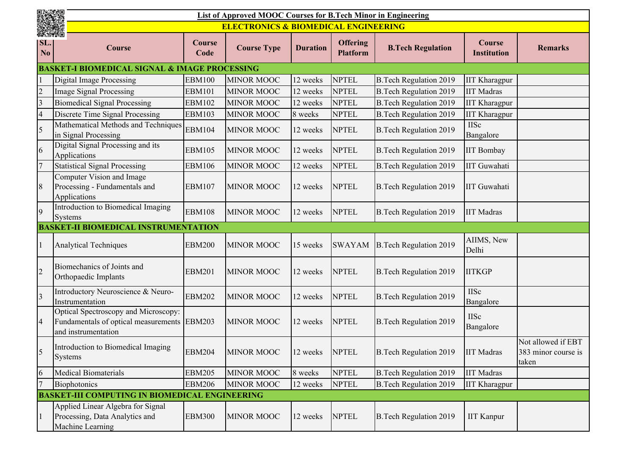|                              | <b>コンダクリスト</b><br>List of Approved MOOC Courses for B.Tech Minor in Engineering                            |                       |                                                 |                 |                                    |                               |                                     |                                                    |  |
|------------------------------|------------------------------------------------------------------------------------------------------------|-----------------------|-------------------------------------------------|-----------------|------------------------------------|-------------------------------|-------------------------------------|----------------------------------------------------|--|
|                              |                                                                                                            |                       | <b>ELECTRONICS &amp; BIOMEDICAL ENGINEERING</b> |                 |                                    |                               |                                     |                                                    |  |
| 無機性<br>SL.<br>N <sub>0</sub> | <b>Course</b>                                                                                              | <b>Course</b><br>Code | <b>Course Type</b>                              | <b>Duration</b> | <b>Offering</b><br><b>Platform</b> | <b>B.Tech Regulation</b>      | <b>Course</b><br><b>Institution</b> | <b>Remarks</b>                                     |  |
|                              | <b>BASKET-I BIOMEDICAL SIGNAL &amp; IMAGE PROCESSING</b>                                                   |                       |                                                 |                 |                                    |                               |                                     |                                                    |  |
|                              | <b>Digital Image Processing</b>                                                                            | <b>EBM100</b>         | <b>MINOR MOOC</b>                               | 12 weeks        | <b>NPTEL</b>                       | <b>B.Tech Regulation 2019</b> | <b>IIT Kharagpur</b>                |                                                    |  |
| $\overline{2}$               | <b>Image Signal Processing</b>                                                                             | <b>EBM101</b>         | <b>MINOR MOOC</b>                               | 12 weeks        | <b>NPTEL</b>                       | <b>B.Tech Regulation 2019</b> | <b>IIT Madras</b>                   |                                                    |  |
| $\overline{3}$               | <b>Biomedical Signal Processing</b>                                                                        | <b>EBM102</b>         | <b>MINOR MOOC</b>                               | 12 weeks        | <b>NPTEL</b>                       | <b>B.Tech Regulation 2019</b> | <b>IIT Kharagpur</b>                |                                                    |  |
| $\overline{4}$               | Discrete Time Signal Processing                                                                            | <b>EBM103</b>         | <b>MINOR MOOC</b>                               | 8 weeks         | <b>NPTEL</b>                       | <b>B.Tech Regulation 2019</b> | <b>IIT Kharagpur</b>                |                                                    |  |
| 5                            | Mathematical Methods and Techniques<br>in Signal Processing                                                | <b>EBM104</b>         | <b>MINOR MOOC</b>                               | 12 weeks        | <b>NPTEL</b>                       | <b>B.Tech Regulation 2019</b> | <b>IISc</b><br>Bangalore            |                                                    |  |
| 6                            | Digital Signal Processing and its<br>Applications                                                          | <b>EBM105</b>         | <b>MINOR MOOC</b>                               | 12 weeks        | <b>NPTEL</b>                       | <b>B.Tech Regulation 2019</b> | <b>IIT Bombay</b>                   |                                                    |  |
| $\overline{7}$               | <b>Statistical Signal Processing</b>                                                                       | <b>EBM106</b>         | <b>MINOR MOOC</b>                               | 12 weeks        | <b>NPTEL</b>                       | <b>B.Tech Regulation 2019</b> | <b>IIT Guwahati</b>                 |                                                    |  |
| 8                            | Computer Vision and Image<br>Processing - Fundamentals and<br>Applications                                 | <b>EBM107</b>         | <b>MINOR MOOC</b>                               | 12 weeks        | <b>NPTEL</b>                       | <b>B.Tech Regulation 2019</b> | <b>IIT Guwahati</b>                 |                                                    |  |
| 9                            | Introduction to Biomedical Imaging<br>Systems                                                              | <b>EBM108</b>         | <b>MINOR MOOC</b>                               | 12 weeks        | <b>NPTEL</b>                       | <b>B.Tech Regulation 2019</b> | <b>IIT Madras</b>                   |                                                    |  |
|                              | <b>BASKET-II BIOMEDICAL INSTRUMENTATION</b>                                                                |                       |                                                 |                 |                                    |                               |                                     |                                                    |  |
|                              | <b>Analytical Techniques</b>                                                                               | <b>EBM200</b>         | <b>MINOR MOOC</b>                               | 15 weeks        | <b>SWAYAM</b>                      | B. Tech Regulation 2019       | AIIMS, New<br>Delhi                 |                                                    |  |
| $\overline{2}$               | Biomechanics of Joints and<br>Orthopaedic Implants                                                         | <b>EBM201</b>         | <b>MINOR MOOC</b>                               | 12 weeks        | <b>NPTEL</b>                       | <b>B.Tech Regulation 2019</b> | <b>IITKGP</b>                       |                                                    |  |
| $\overline{3}$               | Introductory Neuroscience & Neuro-<br>Instrumentation                                                      | <b>EBM202</b>         | <b>MINOR MOOC</b>                               | 12 weeks        | <b>NPTEL</b>                       | <b>B.Tech Regulation 2019</b> | <b>IISc</b><br>Bangalore            |                                                    |  |
| $\overline{4}$               | Optical Spectroscopy and Microscopy:<br>Fundamentals of optical measurements EBM203<br>and instrumentation |                       | <b>MINOR MOOC</b>                               | 12 weeks        | <b>NPTEL</b>                       | <b>B.Tech Regulation 2019</b> | <b>IISc</b><br>Bangalore            |                                                    |  |
| 5                            | Introduction to Biomedical Imaging<br>Systems                                                              | <b>EBM204</b>         | <b>MINOR MOOC</b>                               | 12 weeks        | <b>NPTEL</b>                       | <b>B.Tech Regulation 2019</b> | <b>IIT Madras</b>                   | Not allowed if EBT<br>383 minor course is<br>taken |  |
| 6                            | <b>Medical Biomaterials</b>                                                                                | <b>EBM205</b>         | <b>MINOR MOOC</b>                               | 8 weeks         | <b>NPTEL</b>                       | <b>B.Tech Regulation 2019</b> | <b>IIT Madras</b>                   |                                                    |  |
|                              | Biophotonics                                                                                               | <b>EBM206</b>         | <b>MINOR MOOC</b>                               | 12 weeks        | <b>NPTEL</b>                       | <b>B.Tech Regulation 2019</b> | <b>IIT Kharagpur</b>                |                                                    |  |
|                              | <b>BASKET-III COMPUTING IN BIOMEDICAL ENGINEERING</b>                                                      |                       |                                                 |                 |                                    |                               |                                     |                                                    |  |
|                              | Applied Linear Algebra for Signal<br>Processing, Data Analytics and<br>Machine Learning                    | <b>EBM300</b>         | <b>MINOR MOOC</b>                               | 12 weeks        | <b>NPTEL</b>                       | <b>B.Tech Regulation 2019</b> | <b>IIT Kanpur</b>                   |                                                    |  |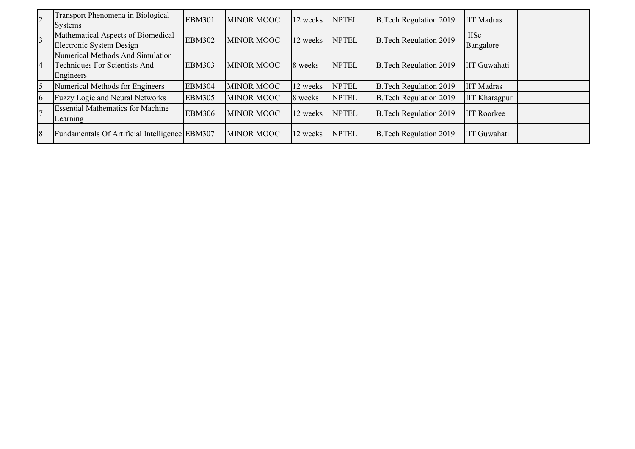| $\overline{c}$ | Transport Phenomena in Biological<br>Systems                                   | <b>EBM301</b> | <b>MINOR MOOC</b> | 12 weeks | <b>NPTEL</b> | <b>B.Tech Regulation 2019</b> | <b>IIT</b> Madras        |
|----------------|--------------------------------------------------------------------------------|---------------|-------------------|----------|--------------|-------------------------------|--------------------------|
| $\overline{3}$ | Mathematical Aspects of Biomedical<br>Electronic System Design                 | <b>EBM302</b> | <b>MINOR MOOC</b> | 12 weeks | <b>NPTEL</b> | <b>B.Tech Regulation 2019</b> | <b>IISc</b><br>Bangalore |
| $\overline{4}$ | Numerical Methods And Simulation<br>Techniques For Scientists And<br>Engineers | <b>EBM303</b> | <b>MINOR MOOC</b> | 8 weeks  | <b>NPTEL</b> | <b>B.Tech Regulation 2019</b> | <b>IIT</b> Guwahati      |
| 5              | Numerical Methods for Engineers                                                | <b>EBM304</b> | <b>MINOR MOOC</b> | 12 weeks | <b>NPTEL</b> | <b>B.Tech Regulation 2019</b> | <b>IIT Madras</b>        |
| 6              | Fuzzy Logic and Neural Networks                                                | <b>EBM305</b> | <b>MINOR MOOC</b> | 8 weeks  | <b>NPTEL</b> | <b>B.Tech Regulation 2019</b> | <b>IIT Kharagpur</b>     |
| $\overline{7}$ | <b>Essential Mathematics for Machine</b><br>Learning                           | <b>EBM306</b> | <b>MINOR MOOC</b> | 12 weeks | <b>NPTEL</b> | <b>B.Tech Regulation 2019</b> | <b>IIT Roorkee</b>       |
| 8              | Fundamentals Of Artificial Intelligence EBM307                                 |               | <b>MINOR MOOC</b> | 12 weeks | <b>NPTEL</b> | <b>B.Tech Regulation 2019</b> | IIT Guwahati             |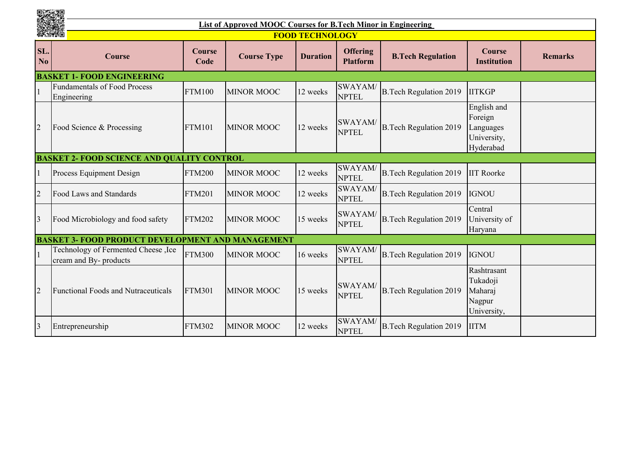|                       |                                                               |                | List of Approved MOOC Courses for B.Tech Minor in Engineering |                        |                                    |                               |                                                                 |                |  |  |  |
|-----------------------|---------------------------------------------------------------|----------------|---------------------------------------------------------------|------------------------|------------------------------------|-------------------------------|-----------------------------------------------------------------|----------------|--|--|--|
| 微淡的                   |                                                               |                |                                                               | <b>FOOD TECHNOLOGY</b> |                                    |                               |                                                                 |                |  |  |  |
| SL.<br>N <sub>0</sub> | Course                                                        | Course<br>Code | <b>Course Type</b>                                            | <b>Duration</b>        | <b>Offering</b><br><b>Platform</b> | <b>B.Tech Regulation</b>      | <b>Course</b><br><b>Institution</b>                             | <b>Remarks</b> |  |  |  |
|                       | <b>BASKET 1- FOOD ENGINEERING</b>                             |                |                                                               |                        |                                    |                               |                                                                 |                |  |  |  |
|                       | <b>Fundamentals of Food Process</b><br>Engineering            | <b>FTM100</b>  | <b>MINOR MOOC</b>                                             | 12 weeks               | <b>SWAYAM</b><br><b>NPTEL</b>      | <b>B.Tech Regulation 2019</b> | <b>IITKGP</b>                                                   |                |  |  |  |
| $\overline{2}$        | Food Science & Processing                                     | <b>FTM101</b>  | <b>MINOR MOOC</b>                                             | 12 weeks               | SWAYAM/<br><b>NPTEL</b>            | <b>B.Tech Regulation 2019</b> | English and<br>Foreign<br>Languages<br>University,<br>Hyderabad |                |  |  |  |
|                       | <b>BASKET 2- FOOD SCIENCE AND QUALITY CONTROL</b>             |                |                                                               |                        |                                    |                               |                                                                 |                |  |  |  |
|                       | Process Equipment Design                                      | <b>FTM200</b>  | <b>MINOR MOOC</b>                                             | 12 weeks               | SWAYAM/<br><b>NPTEL</b>            | <b>B.Tech Regulation 2019</b> | <b>IIT Roorke</b>                                               |                |  |  |  |
| $\overline{2}$        | Food Laws and Standards                                       | <b>FTM201</b>  | <b>MINOR MOOC</b>                                             | 12 weeks               | SWAYAM/<br><b>NPTEL</b>            | <b>B.Tech Regulation 2019</b> | <b>IGNOU</b>                                                    |                |  |  |  |
| 3                     | Food Microbiology and food safety                             | <b>FTM202</b>  | <b>MINOR MOOC</b>                                             | 15 weeks               | SWAYAM/<br><b>NPTEL</b>            | <b>B.Tech Regulation 2019</b> | Central<br>University of<br>Haryana                             |                |  |  |  |
|                       | <b>BASKET 3- FOOD PRODUCT DEVELOPMENT AND MANAGEMENT</b>      |                |                                                               |                        |                                    |                               |                                                                 |                |  |  |  |
|                       | Technology of Fermented Cheese, Ice<br>cream and By- products | <b>FTM300</b>  | <b>MINOR MOOC</b>                                             | 16 weeks               | <b>SWAYAM</b><br><b>NPTEL</b>      | <b>B.Tech Regulation 2019</b> | <b>IGNOU</b>                                                    |                |  |  |  |
| $\overline{2}$        | <b>Functional Foods and Nutraceuticals</b>                    | <b>FTM301</b>  | <b>MINOR MOOC</b>                                             | 15 weeks               | <b>SWAYAM</b><br><b>NPTEL</b>      | <b>B.Tech Regulation 2019</b> | Rashtrasant<br>Tukadoji<br>Maharaj<br>Nagpur<br>University,     |                |  |  |  |
| $\overline{3}$        | Entrepreneurship                                              | <b>FTM302</b>  | <b>MINOR MOOC</b>                                             | 12 weeks               | SWAYAM/<br><b>NPTEL</b>            | <b>B.Tech Regulation 2019</b> | <b>IITM</b>                                                     |                |  |  |  |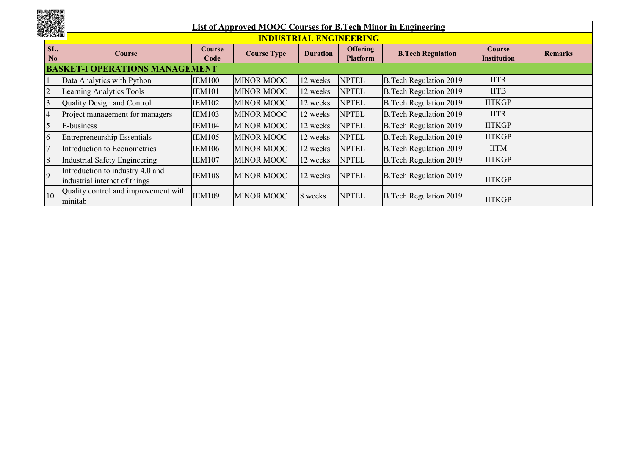|    |                       |                                                                   |                       |                    |                 |                                    | List of Approved MOOC Courses for B.Tech Minor in Engineering |                                     |                |
|----|-----------------------|-------------------------------------------------------------------|-----------------------|--------------------|-----------------|------------------------------------|---------------------------------------------------------------|-------------------------------------|----------------|
|    |                       |                                                                   |                       |                    |                 | <b>INDUSTRIAL ENGINEERING</b>      |                                                               |                                     |                |
|    | SL.<br>N <sub>0</sub> | <b>Course</b>                                                     | <b>Course</b><br>Code | <b>Course Type</b> | <b>Duration</b> | <b>Offering</b><br><b>Platform</b> | <b>B.Tech Regulation</b>                                      | <b>Course</b><br><b>Institution</b> | <b>Remarks</b> |
|    |                       | <b>BASKET-I OPERATIONS MANAGEMENT</b>                             |                       |                    |                 |                                    |                                                               |                                     |                |
|    |                       | Data Analytics with Python                                        | <b>IEM100</b>         | <b>MINOR MOOC</b>  | 12 weeks        | <b>NPTEL</b>                       | <b>B.Tech Regulation 2019</b>                                 | <b>IITR</b>                         |                |
|    |                       | Learning Analytics Tools                                          | <b>IEM101</b>         | <b>MINOR MOOC</b>  | 12 weeks        | <b>NPTEL</b>                       | <b>B.Tech Regulation 2019</b>                                 | <b>IITB</b>                         |                |
|    |                       | Quality Design and Control                                        | <b>IEM102</b>         | <b>MINOR MOOC</b>  | 12 weeks        | <b>NPTEL</b>                       | <b>B.Tech Regulation 2019</b>                                 | <b>IITKGP</b>                       |                |
|    |                       | Project management for managers                                   | <b>IEM103</b>         | <b>MINOR MOOC</b>  | 12 weeks        | <b>NPTEL</b>                       | <b>B.Tech Regulation 2019</b>                                 | <b>IITR</b>                         |                |
|    |                       | E-business                                                        | <b>IEM104</b>         | <b>MINOR MOOC</b>  | 12 weeks        | <b>NPTEL</b>                       | <b>B.Tech Regulation 2019</b>                                 | <b>IITKGP</b>                       |                |
|    |                       | <b>Entrepreneurship Essentials</b>                                | IEM105                | <b>MINOR MOOC</b>  | 12 weeks        | <b>NPTEL</b>                       | <b>B.Tech Regulation 2019</b>                                 | <b>IITKGP</b>                       |                |
|    |                       | Introduction to Econometrics                                      | <b>IEM106</b>         | <b>MINOR MOOC</b>  | 12 weeks        | <b>NPTEL</b>                       | <b>B.Tech Regulation 2019</b>                                 | <b>IITM</b>                         |                |
| 18 |                       | Industrial Safety Engineering                                     | <b>IEM107</b>         | <b>MINOR MOOC</b>  | 12 weeks        | <b>NPTEL</b>                       | <b>B.Tech Regulation 2019</b>                                 | <b>IITKGP</b>                       |                |
|    |                       | Introduction to industry 4.0 and<br>industrial internet of things | <b>IEM108</b>         | <b>MINOR MOOC</b>  | 12 weeks        | <b>NPTEL</b>                       | <b>B.Tech Regulation 2019</b>                                 | <b>IITKGP</b>                       |                |
| 10 |                       | Quality control and improvement with<br>minitab                   | <b>IEM109</b>         | <b>MINOR MOOC</b>  | 8 weeks         | <b>NPTEL</b>                       | <b>B.Tech Regulation 2019</b>                                 | <b>IITKGP</b>                       |                |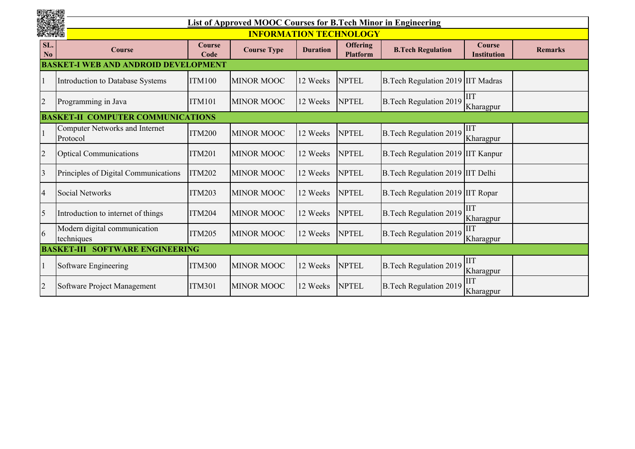|                       |                                                   |                       | List of Approved MOOC Courses for B.Tech Minor in Engineering |                 |                                    |                                    |                              |                |  |  |  |
|-----------------------|---------------------------------------------------|-----------------------|---------------------------------------------------------------|-----------------|------------------------------------|------------------------------------|------------------------------|----------------|--|--|--|
| 野菜園                   |                                                   |                       | <b>INFORMATION TECHNOLOGY</b>                                 |                 |                                    |                                    |                              |                |  |  |  |
| SL.<br>$\mathbf{N_0}$ | <b>Course</b>                                     | <b>Course</b><br>Code | <b>Course Type</b>                                            | <b>Duration</b> | <b>Offering</b><br><b>Platform</b> | <b>B.Tech Regulation</b>           | <b>Course</b><br>Institution | <b>Remarks</b> |  |  |  |
|                       | <b>AND AND</b><br>OPMENT                          |                       |                                                               |                 |                                    |                                    |                              |                |  |  |  |
|                       | Introduction to Database Systems                  | <b>ITM100</b>         | <b>MINOR MOOC</b>                                             | 12 Weeks        | <b>NPTEL</b>                       | B. Tech Regulation 2019 IIT Madras |                              |                |  |  |  |
| $\overline{c}$        | Programming in Java                               | <b>ITM101</b>         | <b>MINOR MOOC</b>                                             | 12 Weeks        | <b>NPTEL</b>                       | <b>B.Tech Regulation 2019</b>      | <b>IIT</b><br>Kharagpur      |                |  |  |  |
|                       | <b>BASKET-II COMPUTER COMMUNICATIONS</b>          |                       |                                                               |                 |                                    |                                    |                              |                |  |  |  |
|                       | <b>Computer Networks and Internet</b><br>Protocol | <b>ITM200</b>         | <b>MINOR MOOC</b>                                             | 12 Weeks        | <b>NPTEL</b>                       | <b>B.Tech Regulation 2019</b>      | <b>IIT</b><br>Kharagpur      |                |  |  |  |
| $\overline{2}$        | <b>Optical Communications</b>                     | <b>ITM201</b>         | <b>MINOR MOOC</b>                                             | 12 Weeks        | <b>NPTEL</b>                       | B.Tech Regulation 2019 IIT Kanpur  |                              |                |  |  |  |
| $\overline{3}$        | Principles of Digital Communications              | <b>ITM202</b>         | <b>MINOR MOOC</b>                                             | 12 Weeks        | <b>NPTEL</b>                       | B.Tech Regulation 2019 IIT Delhi   |                              |                |  |  |  |
| $\overline{4}$        | <b>Social Networks</b>                            | <b>ITM203</b>         | <b>MINOR MOOC</b>                                             | 12 Weeks        | <b>NPTEL</b>                       | B. Tech Regulation 2019 IIT Ropar  |                              |                |  |  |  |
| $\overline{5}$        | Introduction to internet of things                | <b>ITM204</b>         | <b>MINOR MOOC</b>                                             | 12 Weeks        | <b>NPTEL</b>                       | <b>B.Tech Regulation 2019</b>      | <b>IIT</b><br>Kharagpur      |                |  |  |  |
| 6                     | Modern digital communication<br>techniques        | <b>ITM205</b>         | <b>MINOR MOOC</b>                                             | 12 Weeks        | <b>NPTEL</b>                       | <b>B.Tech Regulation 2019</b>      | <b>IIT</b><br>Kharagpur      |                |  |  |  |
|                       | <b>BASKET-III</b><br><b>SOFTWARE ENGINEERING</b>  |                       |                                                               |                 |                                    |                                    |                              |                |  |  |  |
|                       | Software Engineering                              | <b>ITM300</b>         | <b>MINOR MOOC</b>                                             | 12 Weeks        | <b>NPTEL</b>                       | <b>B.Tech Regulation 2019</b>      | <b>IIT</b><br>Kharagpur      |                |  |  |  |
| $\overline{2}$        | Software Project Management                       | <b>ITM301</b>         | <b>MINOR MOOC</b>                                             | 12 Weeks        | <b>NPTEL</b>                       | <b>B.Tech Regulation 2019</b>      | <b>IIT</b><br>Kharagpur      |                |  |  |  |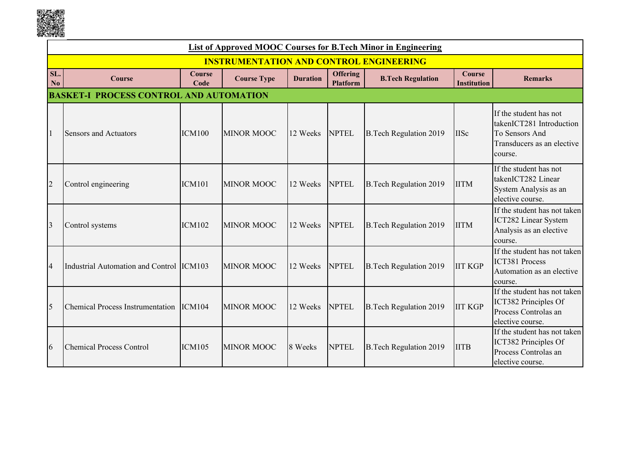

|                | List of Approved MOOC Courses for B.Tech Minor in Engineering |                       |                                                |                 |                                    |                               |                                     |                                                                                                               |  |  |  |
|----------------|---------------------------------------------------------------|-----------------------|------------------------------------------------|-----------------|------------------------------------|-------------------------------|-------------------------------------|---------------------------------------------------------------------------------------------------------------|--|--|--|
|                |                                                               |                       | <b>INSTRUMENTATION AND CONTROL ENGINEERING</b> |                 |                                    |                               |                                     |                                                                                                               |  |  |  |
| SL.<br>No      | <b>Course</b>                                                 | <b>Course</b><br>Code | <b>Course Type</b>                             | <b>Duration</b> | <b>Offering</b><br><b>Platform</b> | <b>B.Tech Regulation</b>      | <b>Course</b><br><b>Institution</b> | <b>Remarks</b>                                                                                                |  |  |  |
|                | PROCESS CONTROL AND AUTOMATION<br><b>BASKE</b>                |                       |                                                |                 |                                    |                               |                                     |                                                                                                               |  |  |  |
|                | <b>Sensors and Actuators</b>                                  | <b>ICM100</b>         | <b>MINOR MOOC</b>                              | 12 Weeks        | <b>NPTEL</b>                       | <b>B.Tech Regulation 2019</b> | <b>IISc</b>                         | If the student has not<br>takenICT281 Introduction<br>To Sensors And<br>Transducers as an elective<br>course. |  |  |  |
| $\overline{2}$ | Control engineering                                           | <b>ICM101</b>         | <b>MINOR MOOC</b>                              | 12 Weeks        | <b>NPTEL</b>                       | <b>B.Tech Regulation 2019</b> | <b>IITM</b>                         | If the student has not<br>takenICT282 Linear<br>System Analysis as an<br>elective course.                     |  |  |  |
| $\overline{3}$ | Control systems                                               | <b>ICM102</b>         | <b>MINOR MOOC</b>                              | 12 Weeks        | <b>NPTEL</b>                       | <b>B.Tech Regulation 2019</b> | <b>IITM</b>                         | If the student has not taken<br>ICT282 Linear System<br>Analysis as an elective<br>course.                    |  |  |  |
| $\overline{4}$ | Industrial Automation and Control ICM103                      |                       | <b>MINOR MOOC</b>                              | 12 Weeks        | <b>NPTEL</b>                       | <b>B.Tech Regulation 2019</b> | <b>IIT KGP</b>                      | If the student has not taken<br><b>ICT381 Process</b><br>Automation as an elective<br>course.                 |  |  |  |
| 5              | <b>Chemical Process Instrumentation</b>                       | ICM104                | <b>MINOR MOOC</b>                              | 12 Weeks        | <b>NPTEL</b>                       | <b>B.Tech Regulation 2019</b> | <b>IIT KGP</b>                      | If the student has not taken<br>ICT382 Principles Of<br>Process Controlas an<br>elective course.              |  |  |  |
| 6              | <b>Chemical Process Control</b>                               | <b>ICM105</b>         | <b>MINOR MOOC</b>                              | 8 Weeks         | <b>NPTEL</b>                       | <b>B.Tech Regulation 2019</b> | <b>IITB</b>                         | If the student has not taken<br>ICT382 Principles Of<br>Process Controlas an<br>elective course.              |  |  |  |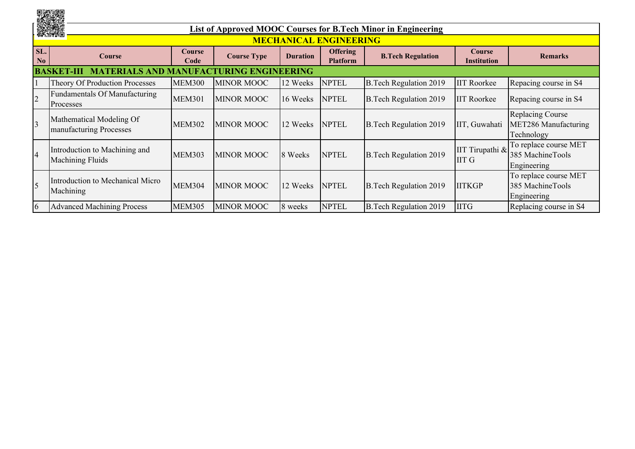|                       | and.                                                          | List of Approved MOOC Courses for B.Tech Minor in Engineering |                    |                 |                                    |                               |                                     |                                                               |  |  |  |  |
|-----------------------|---------------------------------------------------------------|---------------------------------------------------------------|--------------------|-----------------|------------------------------------|-------------------------------|-------------------------------------|---------------------------------------------------------------|--|--|--|--|
|                       |                                                               |                                                               |                    |                 | <b>MECHANICAL ENGINEERING</b>      |                               |                                     |                                                               |  |  |  |  |
| SL.<br>N <sub>0</sub> | Course                                                        | <b>Course</b><br>Code                                         | <b>Course Type</b> | <b>Duration</b> | <b>Offering</b><br><b>Platform</b> | <b>B.Tech Regulation</b>      | <b>Course</b><br><b>Institution</b> | <b>Remarks</b>                                                |  |  |  |  |
|                       | <b>MANUFACTU</b><br><b>BASKET</b><br><b>JRING ENGINEERING</b> |                                                               |                    |                 |                                    |                               |                                     |                                                               |  |  |  |  |
|                       | Theory Of Production Processes                                | <b>MEM300</b>                                                 | <b>MINOR MOOC</b>  | 12 Weeks        | <b>NPTEL</b>                       | <b>B.Tech Regulation 2019</b> | <b>IIT Roorkee</b>                  | Repacing course in S4                                         |  |  |  |  |
|                       | Fundamentals Of Manufacturing<br>Processes                    | <b>MEM301</b>                                                 | <b>MINOR MOOC</b>  | 16 Weeks        | <b>NPTEL</b>                       | <b>B.Tech Regulation 2019</b> | <b>IIT Roorkee</b>                  | Repacing course in S4                                         |  |  |  |  |
|                       | Mathematical Modeling Of<br>manufacturing Processes           | <b>MEM302</b>                                                 | <b>MINOR MOOC</b>  | 12 Weeks        | <b>NPTEL</b>                       | <b>B.Tech Regulation 2019</b> | IIT, Guwahati                       | <b>Replacing Course</b><br>MET286 Manufacturing<br>Technology |  |  |  |  |
|                       | Introduction to Machining and<br><b>Machining Fluids</b>      | <b>MEM303</b>                                                 | <b>MINOR MOOC</b>  | 8 Weeks         | <b>NPTEL</b>                       | <b>B.Tech Regulation 2019</b> | IIT Tirupathi &<br><b>IIT G</b>     | To replace course MET<br>385 MachineTools<br>Engineering      |  |  |  |  |
|                       | Introduction to Mechanical Micro<br>Machining                 | <b>MEM304</b>                                                 | <b>MINOR MOOC</b>  | 12 Weeks        | <b>NPTEL</b>                       | <b>B.Tech Regulation 2019</b> | <b>IITKGP</b>                       | To replace course MET<br>385 MachineTools<br>Engineering      |  |  |  |  |
| 6                     | <b>Advanced Machining Process</b>                             | <b>MEM305</b>                                                 | <b>MINOR MOOC</b>  | 8 weeks         | <b>NPTEL</b>                       | <b>B.Tech Regulation 2019</b> | <b>IITG</b>                         | Replacing course in S4                                        |  |  |  |  |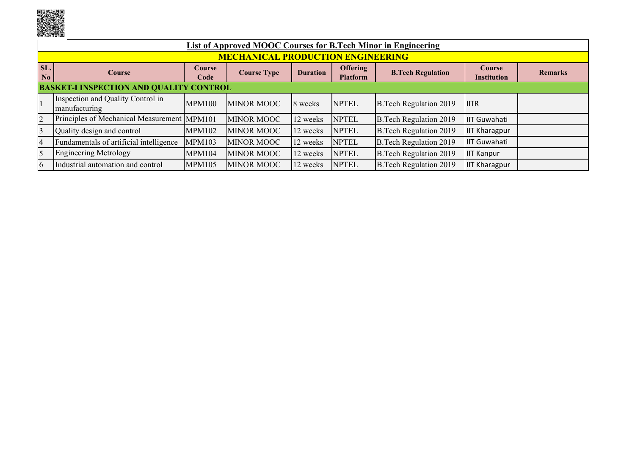uning<br>Séjarah

|                       | List of Approved MOOC Courses for B.Tech Minor in Engineering |                       |                    |                 |                                    |                               |                                     |                |  |  |  |  |
|-----------------------|---------------------------------------------------------------|-----------------------|--------------------|-----------------|------------------------------------|-------------------------------|-------------------------------------|----------------|--|--|--|--|
|                       | <b>MECHANICAL PRODUCTION ENGINEERING</b>                      |                       |                    |                 |                                    |                               |                                     |                |  |  |  |  |
| SL.<br>N <sub>0</sub> | <b>Course</b>                                                 | <b>Course</b><br>Code | <b>Course Type</b> | <b>Duration</b> | <b>Offering</b><br><b>Platform</b> | <b>B.Tech Regulation</b>      | <b>Course</b><br><b>Institution</b> | <b>Remarks</b> |  |  |  |  |
|                       | <b>BASKET-I INSPECTION AND QUALITY CONTROL</b>                |                       |                    |                 |                                    |                               |                                     |                |  |  |  |  |
|                       | Inspection and Quality Control in<br>manufacturing            | MPM100                | <b>MINOR MOOC</b>  | 8 weeks         | <b>NPTEL</b>                       | <b>B.Tech Regulation 2019</b> | <b>IITR</b>                         |                |  |  |  |  |
| $\overline{2}$        | Principles of Mechanical Measurement MPM101                   |                       | <b>MINOR MOOC</b>  | 12 weeks        | <b>NPTEL</b>                       | <b>B.Tech Regulation 2019</b> | <b>IIT Guwahati</b>                 |                |  |  |  |  |
| 3                     | Quality design and control                                    | <b>MPM102</b>         | <b>MINOR MOOC</b>  | 12 weeks        | <b>NPTEL</b>                       | <b>B.Tech Regulation 2019</b> | <b>IIT Kharagpur</b>                |                |  |  |  |  |
| 14                    | Fundamentals of artificial intelligence                       | <b>MPM103</b>         | <b>MINOR MOOC</b>  | 12 weeks        | <b>NPTEL</b>                       | <b>B.Tech Regulation 2019</b> | IIT Guwahati                        |                |  |  |  |  |
| $\overline{5}$        | <b>Engineering Metrology</b>                                  | <b>MPM104</b>         | <b>MINOR MOOC</b>  | 12 weeks        | <b>NPTEL</b>                       | <b>B.Tech Regulation 2019</b> | <b>IIT Kanpur</b>                   |                |  |  |  |  |
| 6                     | Industrial automation and control                             | <b>MPM105</b>         | <b>MINOR MOOC</b>  | 12 weeks        | <b>NPTEL</b>                       | <b>B.Tech Regulation 2019</b> | <b>IF Kharagpur</b>                 |                |  |  |  |  |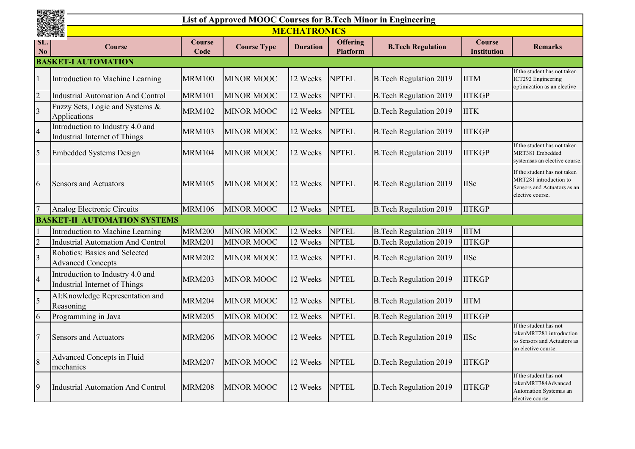|                | <b>List of Approved MOOC Courses for B.Tech Minor in Engineering</b> |                       |                    |                 |                                    |                               |                                     |                                                                                                           |  |  |
|----------------|----------------------------------------------------------------------|-----------------------|--------------------|-----------------|------------------------------------|-------------------------------|-------------------------------------|-----------------------------------------------------------------------------------------------------------|--|--|
|                | <b>MECHATRONICS</b><br>無機相                                           |                       |                    |                 |                                    |                               |                                     |                                                                                                           |  |  |
| SL.<br>No      | <b>Course</b>                                                        | <b>Course</b><br>Code | <b>Course Type</b> | <b>Duration</b> | <b>Offering</b><br><b>Platform</b> | <b>B.Tech Regulation</b>      | <b>Course</b><br><b>Institution</b> | <b>Remarks</b>                                                                                            |  |  |
|                | <b>BASKET-I AUTOMATION</b>                                           |                       |                    |                 |                                    |                               |                                     |                                                                                                           |  |  |
|                | Introduction to Machine Learning                                     | <b>MRM100</b>         | <b>MINOR MOOC</b>  | 12 Weeks        | <b>NPTEL</b>                       | <b>B.Tech Regulation 2019</b> | <b>IITM</b>                         | If the student has not taken<br>ICT292 Engineering<br>optimization as an elective                         |  |  |
| $\overline{2}$ | <b>Industrial Automation And Control</b>                             | <b>MRM101</b>         | <b>MINOR MOOC</b>  | 12 Weeks        | <b>NPTEL</b>                       | <b>B.Tech Regulation 2019</b> | <b>IITKGP</b>                       |                                                                                                           |  |  |
| $\overline{3}$ | Fuzzy Sets, Logic and Systems &<br>Applications                      | <b>MRM102</b>         | <b>MINOR MOOC</b>  | 12 Weeks        | <b>NPTEL</b>                       | <b>B.Tech Regulation 2019</b> | <b>IITK</b>                         |                                                                                                           |  |  |
| $\overline{4}$ | Introduction to Industry 4.0 and<br>Industrial Internet of Things    | <b>MRM103</b>         | <b>MINOR MOOC</b>  | 12 Weeks        | <b>NPTEL</b>                       | <b>B.Tech Regulation 2019</b> | <b>IITKGP</b>                       |                                                                                                           |  |  |
| 5              | <b>Embedded Systems Design</b>                                       | <b>MRM104</b>         | <b>MINOR MOOC</b>  | 12 Weeks        | <b>NPTEL</b>                       | <b>B.Tech Regulation 2019</b> | <b>IITKGP</b>                       | If the student has not taken<br>MRT381 Embedded<br>systemsas an elective course.                          |  |  |
| 6              | <b>Sensors and Actuators</b>                                         | <b>MRM105</b>         | <b>MINOR MOOC</b>  | 12 Weeks        | <b>NPTEL</b>                       | <b>B.Tech Regulation 2019</b> | <b>IISc</b>                         | If the student has not taken<br>MRT281 introduction to<br>Sensors and Actuators as an<br>elective course. |  |  |
| $\overline{7}$ | Analog Electronic Circuits                                           | <b>MRM106</b>         | <b>MINOR MOOC</b>  | 12 Weeks        | <b>NPTEL</b>                       | <b>B.Tech Regulation 2019</b> | <b>IITKGP</b>                       |                                                                                                           |  |  |
|                | <b>BASKET-II AUTOMATION SYSTEMS</b>                                  |                       |                    |                 |                                    |                               |                                     |                                                                                                           |  |  |
|                | Introduction to Machine Learning                                     | <b>MRM200</b>         | <b>MINOR MOOC</b>  | 12 Weeks        | <b>NPTEL</b>                       | <b>B.Tech Regulation 2019</b> | <b>IITM</b>                         |                                                                                                           |  |  |
| $\overline{2}$ | <b>Industrial Automation And Control</b>                             | <b>MRM201</b>         | <b>MINOR MOOC</b>  | 12 Weeks        | <b>NPTEL</b>                       | <b>B.Tech Regulation 2019</b> | <b>IITKGP</b>                       |                                                                                                           |  |  |
| $\overline{3}$ | Robotics: Basics and Selected<br><b>Advanced Concepts</b>            | <b>MRM202</b>         | <b>MINOR MOOC</b>  | 12 Weeks        | <b>NPTEL</b>                       | <b>B.Tech Regulation 2019</b> | <b>IISc</b>                         |                                                                                                           |  |  |
| $\overline{4}$ | Introduction to Industry 4.0 and<br>Industrial Internet of Things    | <b>MRM203</b>         | <b>MINOR MOOC</b>  | 12 Weeks        | <b>NPTEL</b>                       | <b>B.Tech Regulation 2019</b> | <b>IITKGP</b>                       |                                                                                                           |  |  |
| $\overline{5}$ | AI:Knowledge Representation and<br>Reasoning                         | <b>MRM204</b>         | <b>MINOR MOOC</b>  | 12 Weeks        | <b>NPTEL</b>                       | <b>B.Tech Regulation 2019</b> | <b>IITM</b>                         |                                                                                                           |  |  |
| 6              | Programming in Java                                                  | <b>MRM205</b>         | MINOR MOOC         | 12 Weeks        | <b>NPTEL</b>                       | <b>B.Tech Regulation 2019</b> | <b>IITKGP</b>                       |                                                                                                           |  |  |
| $\overline{7}$ | <b>Sensors and Actuators</b>                                         | <b>MRM206</b>         | <b>MINOR MOOC</b>  | 12 Weeks        | <b>NPTEL</b>                       | <b>B.Tech Regulation 2019</b> | <b>IISc</b>                         | If the student has not<br>takenMRT281 introduction<br>to Sensors and Actuators as<br>an elective course.  |  |  |
| 8              | Advanced Concepts in Fluid<br>mechanics                              | <b>MRM207</b>         | MINOR MOOC         | 12 Weeks        | <b>NPTEL</b>                       | <b>B.Tech Regulation 2019</b> | <b>IITKGP</b>                       |                                                                                                           |  |  |
| 9              | Industrial Automation And Control                                    | <b>MRM208</b>         | <b>MINOR MOOC</b>  | 12 Weeks        | <b>NPTEL</b>                       | <b>B.Tech Regulation 2019</b> | <b>IITKGP</b>                       | If the student has not<br>takenMRT384Advanced<br>Automation Systemas an<br>elective course.               |  |  |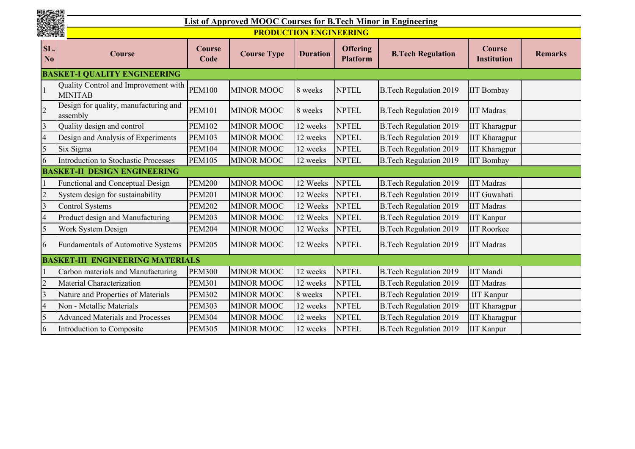|                | List of Approved MOOC Courses for B.Tech Minor in Engineering |                               |                    |                 |                                    |                               |                              |                |  |
|----------------|---------------------------------------------------------------|-------------------------------|--------------------|-----------------|------------------------------------|-------------------------------|------------------------------|----------------|--|
|                |                                                               | <b>PRODUCTION ENGINEERING</b> |                    |                 |                                    |                               |                              |                |  |
| SL.<br>No      | Course                                                        | Course<br>Code                | <b>Course Type</b> | <b>Duration</b> | <b>Offering</b><br><b>Platform</b> | <b>B.Tech Regulation</b>      | Course<br><b>Institution</b> | <b>Remarks</b> |  |
|                | <b>BASKET-I QUALITY ENGINEERING</b>                           |                               |                    |                 |                                    |                               |                              |                |  |
|                | Quality Control and Improvement with<br><b>MINITAB</b>        | <b>PEM100</b>                 | <b>MINOR MOOC</b>  | 8 weeks         | <b>NPTEL</b>                       | <b>B.Tech Regulation 2019</b> | <b>IIT Bombay</b>            |                |  |
| $\overline{2}$ | Design for quality, manufacturing and<br>assembly             | <b>PEM101</b>                 | <b>MINOR MOOC</b>  | 8 weeks         | <b>NPTEL</b>                       | <b>B.Tech Regulation 2019</b> | <b>IIT Madras</b>            |                |  |
| 3              | Quality design and control                                    | <b>PEM102</b>                 | <b>MINOR MOOC</b>  | 12 weeks        | <b>NPTEL</b>                       | <b>B.Tech Regulation 2019</b> | <b>IIT Kharagpur</b>         |                |  |
|                | Design and Analysis of Experiments                            | <b>PEM103</b>                 | <b>MINOR MOOC</b>  | 12 weeks        | <b>NPTEL</b>                       | <b>B.Tech Regulation 2019</b> | <b>IIT Kharagpur</b>         |                |  |
| 5              | Six Sigma                                                     | <b>PEM104</b>                 | <b>MINOR MOOC</b>  | 12 weeks        | <b>NPTEL</b>                       | <b>B.Tech Regulation 2019</b> | <b>IIT Kharagpur</b>         |                |  |
| 6              | Introduction to Stochastic Processes                          | <b>PEM105</b>                 | <b>MINOR MOOC</b>  | 12 weeks        | <b>NPTEL</b>                       | <b>B.Tech Regulation 2019</b> | <b>IIT Bombay</b>            |                |  |
|                | <b>BASKET-II DESIGN ENGINEERING</b>                           |                               |                    |                 |                                    |                               |                              |                |  |
|                | Functional and Conceptual Design                              | <b>PEM200</b>                 | <b>MINOR MOOC</b>  | 12 Weeks        | <b>NPTEL</b>                       | <b>B.Tech Regulation 2019</b> | <b>IIT Madras</b>            |                |  |
|                | System design for sustainability                              | <b>PEM201</b>                 | <b>MINOR MOOC</b>  | 12 Weeks        | <b>NPTEL</b>                       | <b>B.Tech Regulation 2019</b> | <b>IIT Guwahati</b>          |                |  |
| 3              | <b>Control Systems</b>                                        | <b>PEM202</b>                 | <b>MINOR MOOC</b>  | 12 Weeks        | <b>NPTEL</b>                       | <b>B.Tech Regulation 2019</b> | <b>IIT Madras</b>            |                |  |
| 4              | Product design and Manufacturing                              | <b>PEM203</b>                 | <b>MINOR MOOC</b>  | 12 Weeks        | <b>NPTEL</b>                       | <b>B.Tech Regulation 2019</b> | <b>IIT Kanpur</b>            |                |  |
| 5              | Work System Design                                            | <b>PEM204</b>                 | MINOR MOOC         | 12 Weeks        | <b>NPTEL</b>                       | <b>B.Tech Regulation 2019</b> | <b>IIT Roorkee</b>           |                |  |
| 6              | Fundamentals of Automotive Systems                            | <b>PEM205</b>                 | <b>MINOR MOOC</b>  | 12 Weeks        | <b>NPTEL</b>                       | <b>B.Tech Regulation 2019</b> | <b>IIT Madras</b>            |                |  |
|                | <b>BASKET-III ENGINEERING MATERIALS</b>                       |                               |                    |                 |                                    |                               |                              |                |  |
|                | Carbon materials and Manufacturing                            | <b>PEM300</b>                 | <b>MINOR MOOC</b>  | 12 weeks        | <b>NPTEL</b>                       | <b>B.Tech Regulation 2019</b> | <b>IIT</b> Mandi             |                |  |
| 2              | Material Characterization                                     | <b>PEM301</b>                 | <b>MINOR MOOC</b>  | 12 weeks        | <b>NPTEL</b>                       | <b>B.Tech Regulation 2019</b> | <b>IIT Madras</b>            |                |  |
| 3              | Nature and Properties of Materials                            | <b>PEM302</b>                 | <b>MINOR MOOC</b>  | 8 weeks         | <b>NPTEL</b>                       | <b>B.Tech Regulation 2019</b> | <b>IIT Kanpur</b>            |                |  |
| $\overline{4}$ | Non - Metallic Materials                                      | <b>PEM303</b>                 | <b>MINOR MOOC</b>  | 12 weeks        | <b>NPTEL</b>                       | <b>B.Tech Regulation 2019</b> | <b>IIT Kharagpur</b>         |                |  |
| 5              | <b>Advanced Materials and Processes</b>                       | <b>PEM304</b>                 | <b>MINOR MOOC</b>  | 12 weeks        | <b>NPTEL</b>                       | <b>B.Tech Regulation 2019</b> | <b>IIT Kharagpur</b>         |                |  |
| 6              | Introduction to Composite                                     | <b>PEM305</b>                 | <b>MINOR MOOC</b>  | 12 weeks        | <b>NPTEL</b>                       | <b>B.Tech Regulation 2019</b> | <b>IIT Kanpur</b>            |                |  |